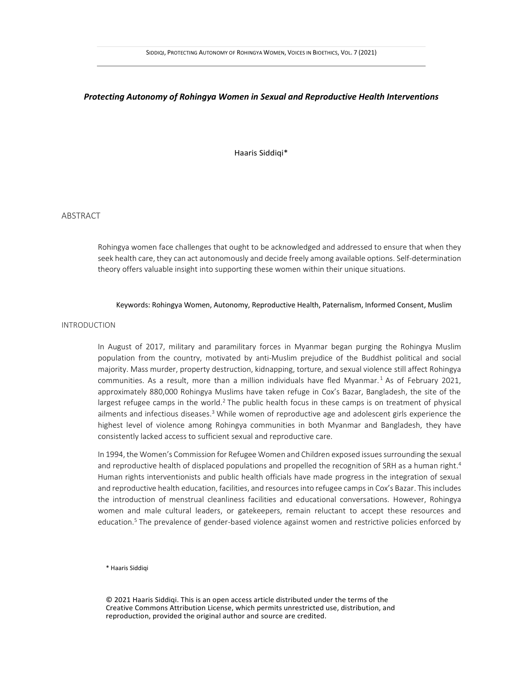# *Protecting Autonomy of Rohingya Women in Sexual and Reproductive Health Interventions*

Haaris Siddiqi\*

ABSTRACT

Rohingya women face challenges that ought to be acknowledged and addressed to ensure that when they seek health care, they can act autonomously and decide freely among available options. Self-determination theory offers valuable insight into supporting these women within their unique situations.

# Keywords: Rohingya Women, Autonomy, Reproductive Health, Paternalism, Informed Consent, Muslim

# INTRODUCTION

In August of 2017, military and paramilitary forces in Myanmar began purging the Rohingya Muslim population from the country, motivated by anti-Muslim prejudice of the Buddhist political and social majority. Mass murder, property destruction, kidnapping, torture, and sexual violence still affect Rohingya communities. As a result, more than a million individuals have fled Myanmar. <sup>1</sup> As of February 2021, approximately 880,000 Rohingya Muslims have taken refuge in Cox's Bazar, Bangladesh, the site of the largest refugee camps in the world.<sup>2</sup> The public health focus in these camps is on treatment of physical ailments and infectious diseases. <sup>3</sup> While women of reproductive age and adolescent girls experience the highest level of violence among Rohingya communities in both Myanmar and Bangladesh, they have consistently lacked access to sufficient sexual and reproductive care.

In 1994, the Women's Commission for Refugee Women and Children exposed issues surrounding the sexual and reproductive health of displaced populations and propelled the recognition of SRH as a human right.<sup>4</sup> Human rights interventionists and public health officials have made progress in the integration of sexual and reproductive health education, facilities, and resources into refugee camps in Cox's Bazar. This includes the introduction of menstrual cleanliness facilities and educational conversations. However, Rohingya women and male cultural leaders, or gatekeepers, remain reluctant to accept these resources and education.<sup>5</sup> The prevalence of gender-based violence against women and restrictive policies enforced by

\* Haaris Siddiqi

© 2021 Haaris Siddiqi. This is an open access article distributed under the terms of the Creative Commons Attribution License, which permits unrestricted use, distribution, and reproduction, provided the original author and source are credited.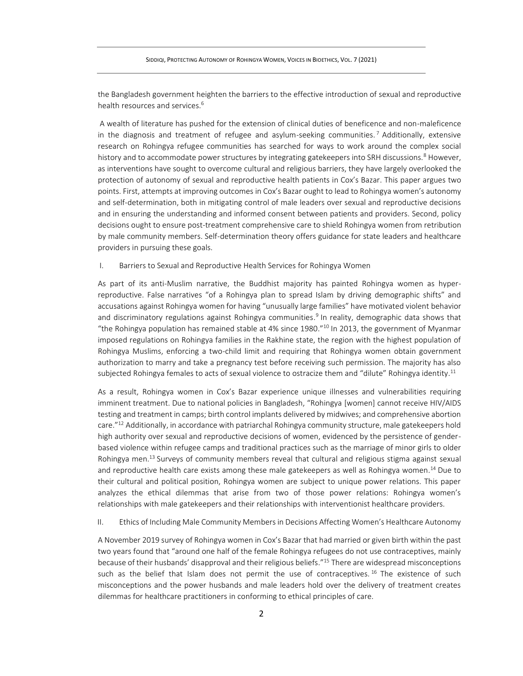the Bangladesh government heighten the barriers to the effective introduction of sexual and reproductive health resources and services. 6

A wealth of literature has pushed for the extension of clinical duties of beneficence and non-maleficence in the diagnosis and treatment of refugee and asylum-seeking communities.<sup>7</sup> Additionally, extensive research on Rohingya refugee communities has searched for ways to work around the complex social history and to accommodate power structures by integrating gatekeepers into SRH discussions.<sup>8</sup> However, as interventions have sought to overcome cultural and religious barriers, they have largely overlooked the protection of autonomy of sexual and reproductive health patients in Cox's Bazar. This paper argues two points. First, attempts at improving outcomes in Cox's Bazar ought to lead to Rohingya women's autonomy and self-determination, both in mitigating control of male leaders over sexual and reproductive decisions and in ensuring the understanding and informed consent between patients and providers. Second, policy decisions ought to ensure post-treatment comprehensive care to shield Rohingya women from retribution by male community members. Self-determination theory offers guidance for state leaders and healthcare providers in pursuing these goals.

I. Barriers to Sexual and Reproductive Health Services for Rohingya Women

As part of its anti-Muslim narrative, the Buddhist majority has painted Rohingya women as hyperreproductive. False narratives "of a Rohingya plan to spread Islam by driving demographic shifts" and accusations against Rohingya women for having "unusually large families" have motivated violent behavior and discriminatory regulations against Rohingya communities. 9 In reality, demographic data shows that "the Rohingya population has remained stable at 4% since 1980." <sup>10</sup> In 2013, the government of Myanmar imposed regulations on Rohingya families in the Rakhine state, the region with the highest population of Rohingya Muslims, enforcing a two-child limit and requiring that Rohingya women obtain government authorization to marry and take a pregnancy test before receiving such permission. The majority has also subjected Rohingya females to acts of sexual violence to ostracize them and "dilute" Rohingya identity.<sup>11</sup>

As a result, Rohingya women in Cox's Bazar experience unique illnesses and vulnerabilities requiring imminent treatment. Due to national policies in Bangladesh, "Rohingya [women] cannot receive HIV/AIDS testing and treatment in camps; birth control implants delivered by midwives; and comprehensive abortion care." <sup>12</sup> Additionally, in accordance with patriarchal Rohingya community structure, male gatekeepers hold high authority over sexual and reproductive decisions of women, evidenced by the persistence of genderbased violence within refugee camps and traditional practices such as the marriage of minor girls to older Rohingya men.<sup>13</sup> Surveys of community members reveal that cultural and religious stigma against sexual and reproductive health care exists among these male gatekeepers as well as Rohingya women. <sup>14</sup> Due to their cultural and political position, Rohingya women are subject to unique power relations. This paper analyzes the ethical dilemmas that arise from two of those power relations: Rohingya women's relationships with male gatekeepers and their relationships with interventionist healthcare providers.

II. Ethics of Including Male Community Members in Decisions Affecting Women's Healthcare Autonomy

A November 2019 survey of Rohingya women in Cox's Bazar that had married or given birth within the past two years found that "around one half of the female Rohingya refugees do not use contraceptives, mainly because of their husbands' disapproval and their religious beliefs." <sup>15</sup> There are widespread misconceptions such as the belief that Islam does not permit the use of contraceptives.<sup>16</sup> The existence of such misconceptions and the power husbands and male leaders hold over the delivery of treatment creates dilemmas for healthcare practitioners in conforming to ethical principles of care.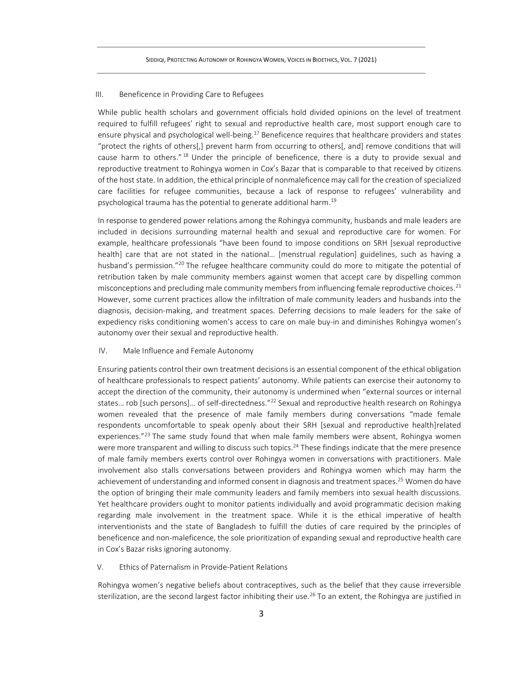### III. Beneficence in Providing Care to Refugees

While public health scholars and government officials hold divided opinions on the level of treatment required to fulfill refugees' right to sexual and reproductive health care, most support enough care to ensure physical and psychological well-being.<sup>17</sup> Beneficence requires that healthcare providers and states "protect the rights of others[,] prevent harm from occurring to others[, and] remove conditions that will cause harm to others."<sup>18</sup> Under the principle of beneficence, there is a duty to provide sexual and reproductive treatment to Rohingya women in Cox's Bazar that is comparable to that received by citizens of the host state. In addition, the ethical principle of nonmaleficence may call for the creation of specialized care facilities for refugee communities, because a lack of response to refugees' vulnerability and psychological trauma has the potential to generate additional harm. 19

In response to gendered power relations among the Rohingya community, husbands and male leaders are included in decisions surrounding maternal health and sexual and reproductive care for women. For example, healthcare professionals "have been found to impose conditions on SRH [sexual reproductive health] care that are not stated in the national... [menstrual regulation] guidelines, such as having a husband's permission."<sup>20</sup> The refugee healthcare community could do more to mitigate the potential of retribution taken by male community members against women that accept care by dispelling common misconceptions and precluding male community members from influencing female reproductive choices.<sup>21</sup> However, some current practices allow the infiltration of male community leaders and husbands into the diagnosis, decision-making, and treatment spaces. Deferring decisions to male leaders for the sake of expediency risks conditioning women's access to care on male buy-in and diminishes Rohingya women's autonomy over their sexual and reproductive health.

## IV. Male Influence and Female Autonomy

Ensuring patients control their own treatment decisions is an essential component of the ethical obligation of healthcare professionals to respect patients' autonomy. While patients can exercise their autonomy to accept the direction of the community, their autonomy is undermined when "external sources or internal states... rob [such persons]... of self-directedness."<sup>22</sup> Sexual and reproductive health research on Rohingya women revealed that the presence of male family members during conversations "made female respondents uncomfortable to speak openly about their SRH [sexual and reproductive health]related experiences."<sup>23</sup> The same study found that when male family members were absent, Rohingya women were more transparent and willing to discuss such topics.<sup>24</sup> These findings indicate that the mere presence of male family members exerts control over Rohingya women in conversations with practitioners. Male involvement also stalls conversations between providers and Rohingya women which may harm the achievement of understanding and informed consent in diagnosis and treatment spaces.<sup>25</sup> Women do have the option of bringing their male community leaders and family members into sexual health discussions. Yet healthcare providers ought to monitor patients individually and avoid programmatic decision making regarding male involvement in the treatment space. While it is the ethical imperative of health interventionists and the state of Bangladesh to fulfill the duties of care required by the principles of beneficence and non-maleficence, the sole prioritization of expanding sexual and reproductive health care in Cox's Bazar risks ignoring autonomy.

# V. Ethics of Paternalism in Provide-Patient Relations

Rohingya women's negative beliefs about contraceptives, such as the belief that they cause irreversible sterilization, are the second largest factor inhibiting their use.<sup>26</sup> To an extent, the Rohingya are justified in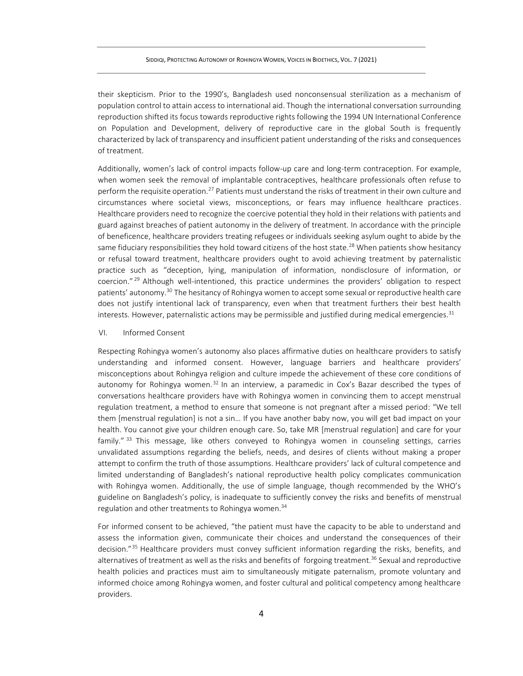their skepticism. Prior to the 1990's, Bangladesh used nonconsensual sterilization as a mechanism of population control to attain access to international aid. Though the international conversation surrounding reproduction shifted its focus towards reproductive rights following the 1994 UN International Conference on Population and Development, delivery of reproductive care in the global South is frequently characterized by lack of transparency and insufficient patient understanding of the risks and consequences of treatment.

Additionally, women's lack of control impacts follow-up care and long-term contraception. For example, when women seek the removal of implantable contraceptives, healthcare professionals often refuse to perform the requisite operation.<sup>27</sup> Patients must understand the risks of treatment in their own culture and circumstances where societal views, misconceptions, or fears may influence healthcare practices. Healthcare providers need to recognize the coercive potential they hold in their relations with patients and guard against breaches of patient autonomy in the delivery of treatment. In accordance with the principle of beneficence, healthcare providers treating refugees or individuals seeking asylum ought to abide by the same fiduciary responsibilities they hold toward citizens of the host state.<sup>28</sup> When patients show hesitancy or refusal toward treatment, healthcare providers ought to avoid achieving treatment by paternalistic practice such as "deception, lying, manipulation of information, nondisclosure of information, or coercion." <sup>29</sup> Although well-intentioned, this practice undermines the providers' obligation to respect patients' autonomy. <sup>30</sup> The hesitancy of Rohingya women to accept some sexual or reproductive health care does not justify intentional lack of transparency, even when that treatment furthers their best health interests. However, paternalistic actions may be permissible and justified during medical emergencies.<sup>31</sup>

#### VI. Informed Consent

Respecting Rohingya women's autonomy also places affirmative duties on healthcare providers to satisfy understanding and informed consent. However, language barriers and healthcare providers' misconceptions about Rohingya religion and culture impede the achievement of these core conditions of autonomy for Rohingya women.<sup>32</sup> In an interview, a paramedic in Cox's Bazar described the types of conversations healthcare providers have with Rohingya women in convincing them to accept menstrual regulation treatment, a method to ensure that someone is not pregnant after a missed period: "We tell them [menstrual regulation] is not a sin… If you have another baby now, you will get bad impact on your health. You cannot give your children enough care. So, take MR [menstrual regulation] and care for your family."<sup>33</sup> This message, like others conveyed to Rohingya women in counseling settings, carries unvalidated assumptions regarding the beliefs, needs, and desires of clients without making a proper attempt to confirm the truth of those assumptions. Healthcare providers' lack of cultural competence and limited understanding of Bangladesh's national reproductive health policy complicates communication with Rohingya women. Additionally, the use of simple language, though recommended by the WHO's guideline on Bangladesh's policy, is inadequate to sufficiently convey the risks and benefits of menstrual regulation and other treatments to Rohingya women. 34

For informed consent to be achieved, "the patient must have the capacity to be able to understand and assess the information given, communicate their choices and understand the consequences of their decision." <sup>35</sup> Healthcare providers must convey sufficient information regarding the risks, benefits, and alternatives of treatment as well as the risks and benefits of forgoing treatment.<sup>36</sup> Sexual and reproductive health policies and practices must aim to simultaneously mitigate paternalism, promote voluntary and informed choice among Rohingya women, and foster cultural and political competency among healthcare providers.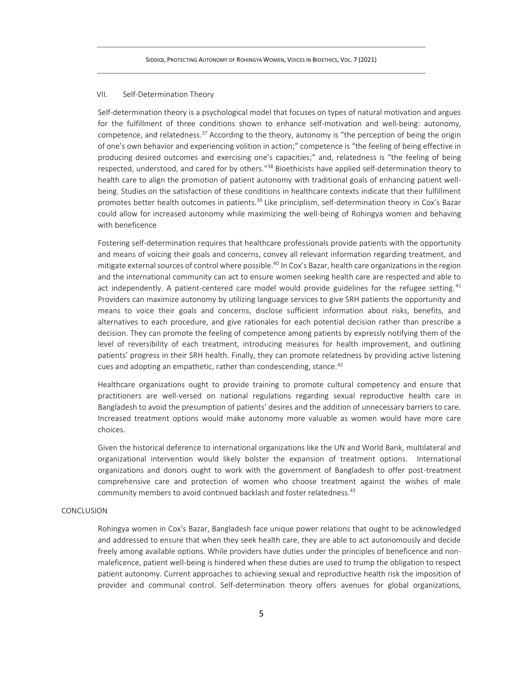### VII. Self-Determination Theory

Self-determination theory is a psychological model that focuses on types of natural motivation and argues for the fulfillment of three conditions shown to enhance self-motivation and well-being: autonomy, competence, and relatedness.<sup>37</sup> According to the theory, autonomy is "the perception of being the origin of one's own behavior and experiencing volition in action;" competence is "the feeling of being effective in producing desired outcomes and exercising one's capacities;" and, relatedness is "the feeling of being respected, understood, and cared for by others."<sup>38</sup> Bioethicists have applied self-determination theory to health care to align the promotion of patient autonomy with traditional goals of enhancing patient wellbeing. Studies on the satisfaction of these conditions in healthcare contexts indicate that their fulfillment promotes better health outcomes in patients.<sup>39</sup> Like principlism, self-determination theory in Cox's Bazar could allow for increased autonomy while maximizing the well-being of Rohingya women and behaving with beneficence

Fostering self-determination requires that healthcare professionals provide patients with the opportunity and means of voicing their goals and concerns, convey all relevant information regarding treatment, and mitigate external sources of control where possible. <sup>40</sup> In Cox's Bazar, health care organizations in the region and the international community can act to ensure women seeking health care are respected and able to act independently. A patient-centered care model would provide guidelines for the refugee setting.  $41$ Providers can maximize autonomy by utilizing language services to give SRH patients the opportunity and means to voice their goals and concerns, disclose sufficient information about risks, benefits, and alternatives to each procedure, and give rationales for each potential decision rather than prescribe a decision. They can promote the feeling of competence among patients by expressly notifying them of the level of reversibility of each treatment, introducing measures for health improvement, and outlining patients' progress in their SRH health. Finally, they can promote relatedness by providing active listening cues and adopting an empathetic, rather than condescending, stance.<sup>42</sup>

Healthcare organizations ought to provide training to promote cultural competency and ensure that practitioners are well-versed on national regulations regarding sexual reproductive health care in Bangladesh to avoid the presumption of patients' desires and the addition of unnecessary barriers to care. Increased treatment options would make autonomy more valuable as women would have more care choices.

Given the historical deference to international organizations like the UN and World Bank, multilateral and organizational intervention would likely bolster the expansion of treatment options. International organizations and donors ought to work with the government of Bangladesh to offer post-treatment comprehensive care and protection of women who choose treatment against the wishes of male community members to avoid continued backlash and foster relatedness. 43

## CONCLUSION

Rohingya women in Cox's Bazar, Bangladesh face unique power relations that ought to be acknowledged and addressed to ensure that when they seek health care, they are able to act autonomously and decide freely among available options. While providers have duties under the principles of beneficence and nonmaleficence, patient well-being is hindered when these duties are used to trump the obligation to respect patient autonomy. Current approaches to achieving sexual and reproductive health risk the imposition of provider and communal control. Self-determination theory offers avenues for global organizations,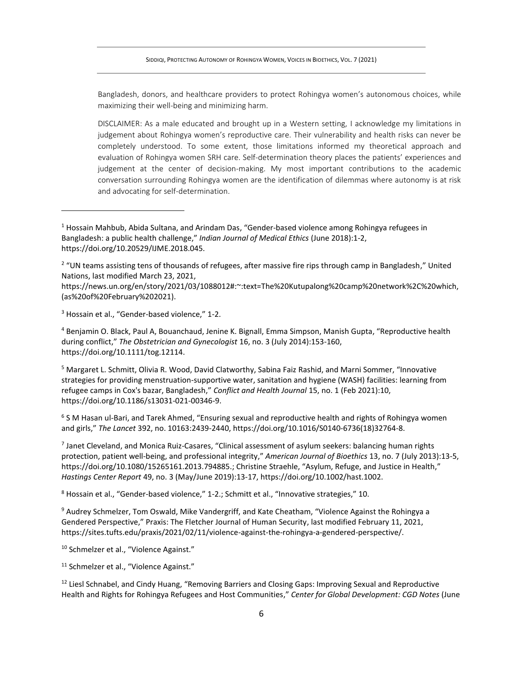Bangladesh, donors, and healthcare providers to protect Rohingya women's autonomous choices, while maximizing their well-being and minimizing harm.

DISCLAIMER: As a male educated and brought up in a Western setting, I acknowledge my limitations in judgement about Rohingya women's reproductive care. Their vulnerability and health risks can never be completely understood. To some extent, those limitations informed my theoretical approach and evaluation of Rohingya women SRH care. Self-determination theory places the patients' experiences and judgement at the center of decision-making. My most important contributions to the academic conversation surrounding Rohingya women are the identification of dilemmas where autonomy is at risk and advocating for self-determination.

<sup>2</sup> "UN teams assisting tens of thousands of refugees, after massive fire rips through camp in Bangladesh," United Nations, last modified March 23, 2021,

https://news.un.org/en/story/2021/03/1088012#:~:text=The%20Kutupalong%20camp%20network%2C%20which, (as%20of%20February%202021).

<sup>3</sup> Hossain et al., "Gender-based violence," 1-2.

<sup>4</sup> Benjamin O. Black, Paul A, Bouanchaud, Jenine K. Bignall, Emma Simpson, Manish Gupta, "Reproductive health during conflict," *The Obstetrician and Gynecologist* 16, no. 3 (July 2014):153-160, https://doi.org/10.1111/tog.12114.

<sup>5</sup> Margaret L. Schmitt, Olivia R. Wood, David Clatworthy, Sabina Faiz Rashid, and Marni Sommer, "Innovative strategies for providing menstruation-supportive water, sanitation and hygiene (WASH) facilities: learning from refugee camps in Cox's bazar, Bangladesh," *Conflict and Health Journal* 15, no. 1 (Feb 2021):10, https://doi.org/10.1186/s13031-021-00346-9.

<sup>6</sup> S M Hasan ul-Bari, and Tarek Ahmed, "Ensuring sexual and reproductive health and rights of Rohingya women and girls," *The Lancet* 392, no. 10163:2439-2440, https://doi.org/10.1016/S0140-6736(18)32764-8.

7 Janet Cleveland, and Monica Ruiz-Casares, "Clinical assessment of asylum seekers: balancing human rights protection, patient well-being, and professional integrity," *American Journal of Bioethics* 13, no. 7 (July 2013):13-5, https://doi.org/10.1080/15265161.2013.794885.; Christine Straehle, "Asylum, Refuge, and Justice in Health," *Hastings Center Report* 49, no. 3 (May/June 2019):13-17, https://doi.org/10.1002/hast.1002.

 $8$  Hossain et al., "Gender-based violence," 1-2.; Schmitt et al., "Innovative strategies," 10.

<sup>9</sup> Audrey Schmelzer, Tom Oswald, Mike Vandergriff, and Kate Cheatham, "Violence Against the Rohingya a Gendered Perspective," Praxis: The Fletcher Journal of Human Security, last modified February 11, 2021, https://sites.tufts.edu/praxis/2021/02/11/violence-against-the-rohingya-a-gendered-perspective/.

<sup>10</sup> Schmelzer et al., "Violence Against."

<sup>11</sup> Schmelzer et al., "Violence Against."

<sup>12</sup> Liesl Schnabel, and Cindy Huang, "Removing Barriers and Closing Gaps: Improving Sexual and Reproductive Health and Rights for Rohingya Refugees and Host Communities," *Center for Global Development: CGD Notes* (June

<sup>1</sup> Hossain Mahbub, Abida Sultana, and Arindam Das, "Gender-based violence among Rohingya refugees in Bangladesh: a public health challenge," *Indian Journal of Medical Ethics* (June 2018):1-2, https://doi.org/10.20529/IJME.2018.045.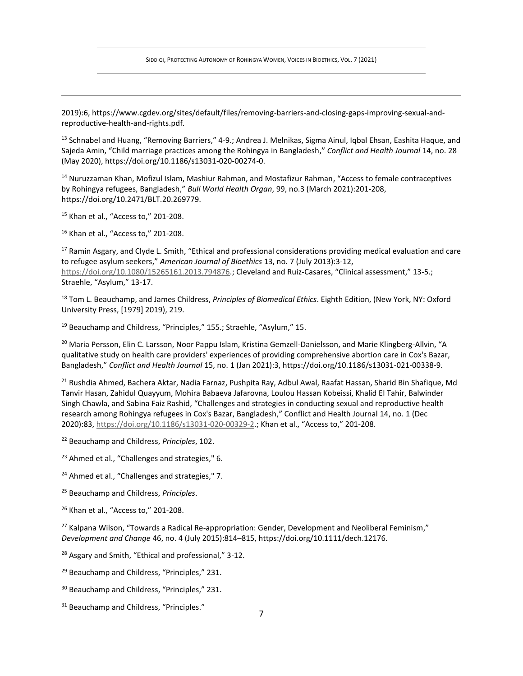2019):6, https://www.cgdev.org/sites/default/files/removing-barriers-and-closing-gaps-improving-sexual-andreproductive-health-and-rights.pdf.

13 Schnabel and Huang, "Removing Barriers," 4-9.; Andrea J. Melnikas, Sigma Ainul, Iqbal Ehsan, Eashita Haque, and Sajeda Amin, "Child marriage practices among the Rohingya in Bangladesh," *Conflict and Health Journal* 14, no. 28 (May 2020), https://doi.org/10.1186/s13031-020-00274-0.

<sup>14</sup> Nuruzzaman Khan, Mofizul Islam, Mashiur Rahman, and Mostafizur Rahman, "Access to female contraceptives by Rohingya refugees, Bangladesh," *Bull World Health Organ*, 99, no.3 (March 2021):201-208, https://doi.org/10.2471/BLT.20.269779.

<sup>15</sup> Khan et al., "Access to," 201-208.

<sup>16</sup> Khan et al., "Access to," 201-208.

<sup>17</sup> Ramin Asgary, and Clyde L. Smith, "Ethical and professional considerations providing medical evaluation and care to refugee asylum seekers," *American Journal of Bioethics* 13, no. 7 (July 2013):3-12, [https://doi.org/10.1080/15265161.2013.794876.;](https://doi.org/10.1080/15265161.2013.794876) Cleveland and Ruiz-Casares, "Clinical assessment," 13-5.; Straehle, "Asylum," 13-17.

<sup>18</sup> Tom L. Beauchamp, and James Childress, *Principles of Biomedical Ethics*. Eighth Edition, (New York, NY: Oxford University Press, [1979] 2019), 219.

<sup>19</sup> Beauchamp and Childress, "Principles," 155.; Straehle, "Asylum," 15.

<sup>20</sup> Maria Persson, Elin C. Larsson, Noor Pappu Islam, Kristina Gemzell-Danielsson, and Marie Klingberg-Allvin, "A qualitative study on health care providers' experiences of providing comprehensive abortion care in Cox's Bazar, Bangladesh," *Conflict and Health Journal* 15, no. 1 (Jan 2021):3, https://doi.org/10.1186/s13031-021-00338-9.

<sup>21</sup> Rushdia Ahmed, Bachera Aktar, Nadia Farnaz, Pushpita Ray, Adbul Awal, Raafat Hassan, Sharid Bin Shafique, Md Tanvir Hasan, Zahidul Quayyum, Mohira Babaeva Jafarovna, Loulou Hassan Kobeissi, Khalid El Tahir, Balwinder Singh Chawla, and Sabina Faiz Rashid, "Challenges and strategies in conducting sexual and reproductive health research among Rohingya refugees in Cox's Bazar, Bangladesh," Conflict and Health Journal 14, no. 1 (Dec 2020):83, [https://doi.org/10.1186/s13031-020-00329-2.](https://doi.org/10.1186/s13031-020-00329-2); Khan et al., "Access to," 201-208.

- <sup>22</sup> Beauchamp and Childress, *Principles*, 102.
- <sup>23</sup> Ahmed et al., "Challenges and strategies," 6.
- <sup>24</sup> Ahmed et al., "Challenges and strategies," 7.
- <sup>25</sup> Beauchamp and Childress, *Principles*.
- <sup>26</sup> Khan et al., "Access to," 201-208.

 $27$  Kalpana Wilson, "Towards a Radical Re-appropriation: Gender, Development and Neoliberal Feminism," *Development and Change* 46, no. 4 (July 2015):814–815, https://doi.org/10.1111/dech.12176.

<sup>28</sup> Asgary and Smith, "Ethical and professional," 3-12.

- <sup>29</sup> Beauchamp and Childress, "Principles," 231.
- <sup>30</sup> Beauchamp and Childress, "Principles," 231.
- <sup>31</sup> Beauchamp and Childress, "Principles."